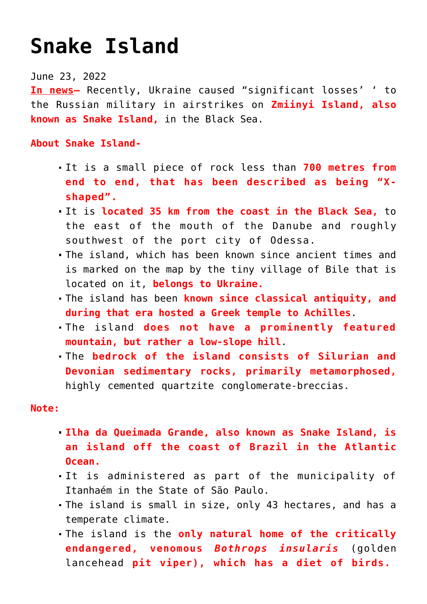## **[Snake Island](https://journalsofindia.com/snake-island/)**

## June 23, 2022

**In news–** Recently, Ukraine caused "significant losses' ' to the Russian military in airstrikes on **Zmiinyi Island, also known as Snake Island,** in the Black Sea.

## **About Snake Island-**

- It is a small piece of rock less than **700 metres from end to end, that has been described as being "Xshaped".**
- It is **located 35 km from the coast in the Black Sea,** to the east of the mouth of the Danube and roughly southwest of the port city of Odessa.
- The island, which has been known since ancient times and is marked on the map by the tiny village of Bile that is located on it, **belongs to Ukraine.**
- The island has been **known since classical antiquity, and during that era hosted a Greek temple to Achilles**.
- The island **does not have a prominently featured mountain, but rather a low-slope hill**.
- The **bedrock of the island consists of Silurian and Devonian sedimentary rocks, primarily metamorphosed,** highly cemented quartzite conglomerate-breccias.

## **Note:**

- **Ilha da Queimada Grande, also known as Snake Island, is an island off the coast of Brazil in the Atlantic Ocean.**
- It is administered as part of the municipality of Itanhaém in the State of São Paulo.
- The island is small in size, only 43 hectares, and has a temperate climate.
- The island is the **only natural home of the critically endangered, venomous** *Bothrops insularis* (golden lancehead **pit viper), which has a diet of birds.**